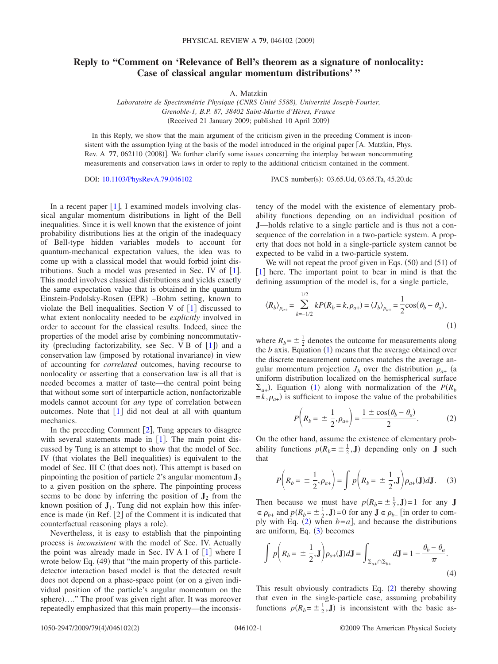## **Reply to "Comment on 'Relevance of Bell's theorem as a signature of nonlocality: Case of classical angular momentum distributions' "**

A. Matzkin

*Laboratoire de Spectrométrie Physique (CNRS Unité 5588), Université Joseph-Fourier, Grenoble-1, B.P. 87, 38402 Saint-Martin d'Hères, France* Received 21 January 2009; published 10 April 2009-

In this Reply, we show that the main argument of the criticism given in the preceding Comment is inconsistent with the assumption lying at the basis of the model introduced in the original paper  $[A]$ . Matzkin, Phys. Rev. A 77, 062110 (2008)]. We further clarify some issues concerning the interplay between noncommuting measurements and conservation laws in order to reply to the additional criticism contained in the comment.

DOI: [10.1103/PhysRevA.79.046102](http://dx.doi.org/10.1103/PhysRevA.79.046102)

PACS number(s): 03.65.Ud, 03.65.Ta, 45.20.dc

In a recent paper  $[1]$  $[1]$  $[1]$ , I examined models involving classical angular momentum distributions in light of the Bell inequalities. Since it is well known that the existence of joint probability distributions lies at the origin of the inadequacy of Bell-type hidden variables models to account for quantum-mechanical expectation values, the idea was to come up with a classical model that would forbid joint distributions. Such a model was presented in Sec. IV of  $[1]$  $[1]$  $[1]$ . This model involves classical distributions and yields exactly the same expectation value that is obtained in the quantum Einstein-Podolsky-Rosen (EPR) -Bohm setting, known to violate the Bell inequalities. Section V of  $\lceil 1 \rceil$  $\lceil 1 \rceil$  $\lceil 1 \rceil$  discussed to what extent nonlocality needed to be *explicitly* involved in order to account for the classical results. Indeed, since the properties of the model arise by combining noncommutativity (precluding factorizability, see Sec. V B of  $[1]$  $[1]$  $[1]$ ) and a conservation law (imposed by rotational invariance) in view of accounting for *correlated* outcomes, having recourse to nonlocality or asserting that a conservation law is all that is needed becomes a matter of taste—the central point being that without some sort of interparticle action, nonfactorizable models cannot account for *any* type of correlation between outcomes. Note that  $\begin{bmatrix} 1 \end{bmatrix}$  $\begin{bmatrix} 1 \end{bmatrix}$  $\begin{bmatrix} 1 \end{bmatrix}$  did not deal at all with quantum mechanics.

In the preceding Comment  $[2]$  $[2]$  $[2]$ , Tung appears to disagree with several statements made in  $[1]$  $[1]$  $[1]$ . The main point discussed by Tung is an attempt to show that the model of Sec. IV (that violates the Bell inequalities) is equivalent to the model of Sec. III C (that does not). This attempt is based on pinpointing the position of particle 2's angular momentum  $\mathbf{J}_2$ to a given position on the sphere. The pinpointing process seems to be done by inferring the position of  $J_2$  from the known position of  $J_1$ . Tung did not explain how this inference is made (in Ref.  $[2]$  of the Comment it is indicated that counterfactual reasoning plays a role).

Nevertheless, it is easy to establish that the pinpointing process is *inconsistent* with the model of Sec. IV. Actually the point was already made in Sec. IV A [1](#page-1-0) of  $[1]$  where I wrote below Eq. (49) that "the main property of this particledetector interaction based model is that the detected result does not depend on a phase-space point (or on a given individual position of the particle's angular momentum on the sphere)...." The proof was given right after. It was moreover repeatedly emphasized that this main property—the inconsistency of the model with the existence of elementary probability functions depending on an individual position of **J**—holds relative to a single particle and is thus not a consequence of the correlation in a two-particle system. A property that does not hold in a single-particle system cannot be expected to be valid in a two-particle system.

We will not repeat the proof given in Eqs.  $(50)$  and  $(51)$  of  $\lceil 1 \rceil$  $\lceil 1 \rceil$  $\lceil 1 \rceil$  here. The important point to bear in mind is that the defining assumption of the model is, for a single particle,

<span id="page-0-0"></span>
$$
\langle R_b \rangle_{\rho_{a+}} = \sum_{k=-1/2}^{1/2} k P(R_b = k, \rho_{a+}) = \langle J_b \rangle_{\rho_{a+}} = \frac{1}{2} \cos(\theta_b - \theta_a),
$$
\n(1)

where  $R_b = \pm \frac{1}{2}$  denotes the outcome for measurements along the  $b$  axis. Equation  $(1)$  $(1)$  $(1)$  means that the average obtained over the discrete measurement outcomes matches the average angular momentum projection  $J_b$  over the distribution  $\rho_{a+}$  (a uniform distribution localized on the hemispherical surface  $\Sigma_{a+}$ ). Equation ([1](#page-0-0)) along with normalization of the *P(R<sub>b</sub>*  $=k, \rho_{a+}$ ) is sufficient to impose the value of the probabilities

$$
P\left(R_b = \pm \frac{1}{2}, \rho_{a+}\right) = \frac{1 \pm \cos(\theta_b - \theta_a)}{2}.
$$
 (2)

<span id="page-0-1"></span>On the other hand, assume the existence of elementary probability functions  $p(R_b = \pm \frac{1}{2}, \mathbf{J})$  depending only on **J** such that

$$
P\left(R_b = \pm \frac{1}{2}, \rho_{a+}\right) = \int p\left(R_b = \pm \frac{1}{2}, \mathbf{J}\right) \rho_{a+}(\mathbf{J}) d\mathbf{J}.
$$
 (3)

<span id="page-0-2"></span>Then because we must have  $p(R_b = \pm \frac{1}{2}, \mathbf{J}) = 1$  for any **J**  $\epsilon \rho_{b+}$  and  $p(R_b = \pm \frac{1}{2}, \mathbf{J}) = 0$  for any  $\mathbf{J} \epsilon \rho_{b-}$  [in order to com-ply with Eq. ([2](#page-0-1)) when  $b=a$ , and because the distributions are uniform, Eq.  $(3)$  $(3)$  $(3)$  becomes

$$
\int p\left(R_b = \pm \frac{1}{2}, \mathbf{J}\right) \rho_{a+}(\mathbf{J}) d\mathbf{J} = \int_{\Sigma_{a+} \cap \Sigma_{b+}} d\mathbf{J} = 1 - \frac{\theta_b - \theta_a}{\pi}.
$$
\n(4)

This result obviously contradicts Eq.  $(2)$  $(2)$  $(2)$  thereby showing that even in the single-particle case, assuming probability functions  $p(R_b = \pm \frac{1}{2}, \mathbf{J})$  is inconsistent with the basic as-